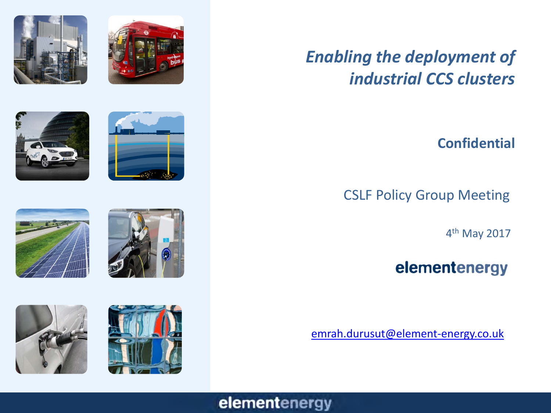















# *Enabling the deployment of industrial CCS clusters*

### **Confidential**

CSLF Policy Group Meeting

4th May 2017

## elementenergy

[emrah.durusut@element-energy.co.uk](mailto:emrah.durusut@element-energy.co.uk)

### elementenergy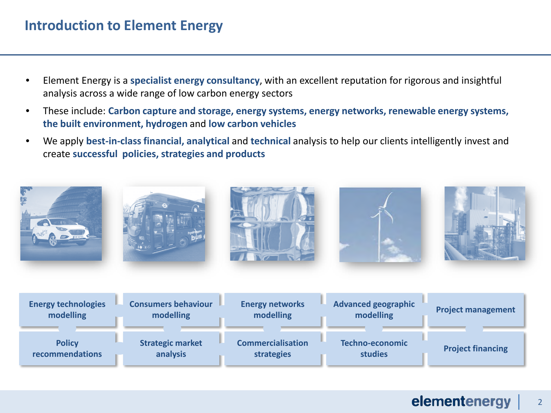### **Introduction to Element Energy**

- Element Energy is a **specialist energy consultancy**, with an excellent reputation for rigorous and insightful analysis across a wide range of low carbon energy sectors
- These include: **Carbon capture and storage, energy systems, energy networks, renewable energy systems, the built environment, hydrogen** and **low carbon vehicles**
- We apply **best-in-class financial, analytical** and **technical** analysis to help our clients intelligently invest and create **successful policies, strategies and products**

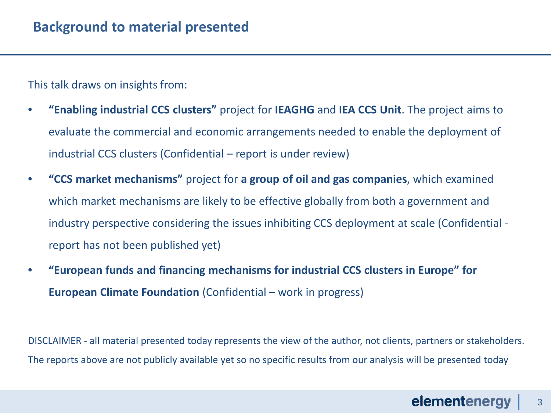This talk draws on insights from:

- **"Enabling industrial CCS clusters"** project for **IEAGHG** and **IEA CCS Unit**. The project aims to evaluate the commercial and economic arrangements needed to enable the deployment of industrial CCS clusters (Confidential – report is under review)
- **"CCS market mechanisms"** project for **a group of oil and gas companies**, which examined which market mechanisms are likely to be effective globally from both a government and industry perspective considering the issues inhibiting CCS deployment at scale (Confidential report has not been published yet)
- **"European funds and financing mechanisms for industrial CCS clusters in Europe" for European Climate Foundation** (Confidential – work in progress)

DISCLAIMER - all material presented today represents the view of the author, not clients, partners or stakeholders. The reports above are not publicly available yet so no specific results from our analysis will be presented today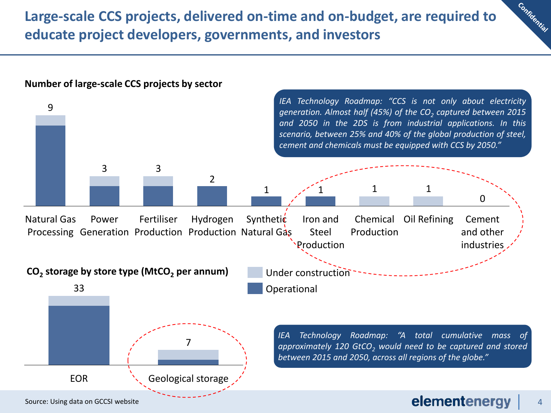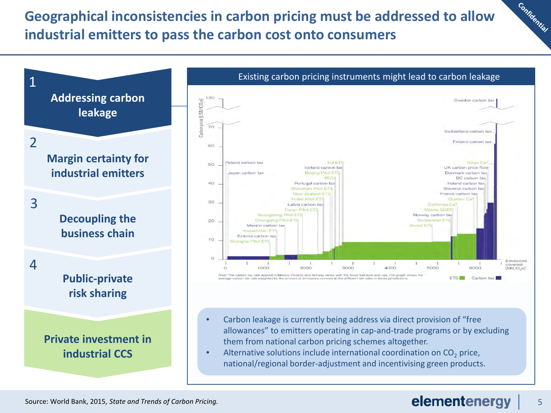### **Geographical inconsistencies in carbon pricing must be addressed to allow industrial emitters to pass the carbon cost onto consumers**



#### elementenergy 5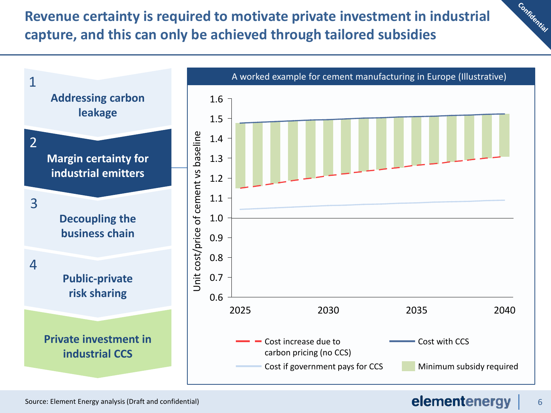**Revenue certainty is required to motivate private investment in industrial capture, and this can only be achieved through tailored subsidies**



#### elementenergy 6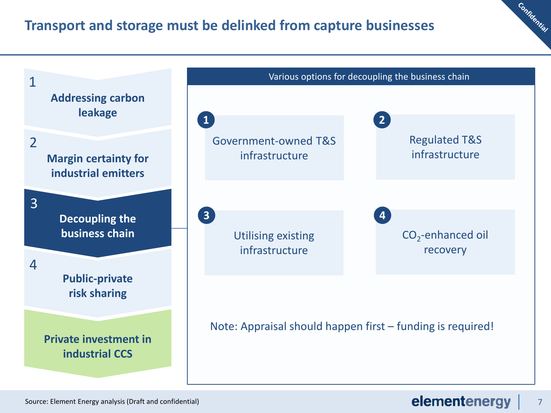### **Transport and storage must be delinked from capture businesses**

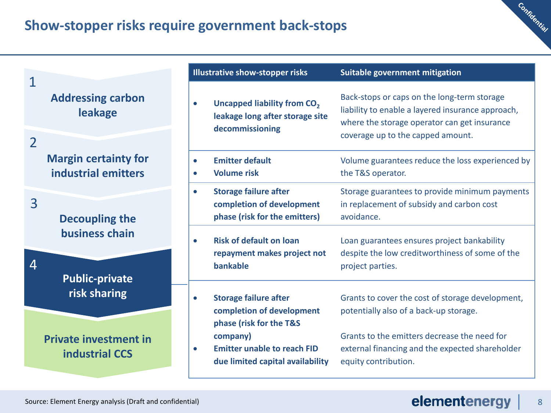### **Show-stopper risks require government back-stops**



|                |                                                                                  | <b>Illustrative show-stopper risks</b>                                                                                     | Suitable government mitigation                                                                                                                                                        |
|----------------|----------------------------------------------------------------------------------|----------------------------------------------------------------------------------------------------------------------------|---------------------------------------------------------------------------------------------------------------------------------------------------------------------------------------|
| $\overline{2}$ | <b>Addressing carbon</b><br>leakage                                              | Uncapped liability from CO <sub>2</sub><br>$\bullet$<br>leakage long after storage site<br>decommissioning                 | Back-stops or caps on the long-term storage<br>liability to enable a layered insurance approach,<br>where the storage operator can get insurance<br>coverage up to the capped amount. |
|                | <b>Margin certainty for</b><br>industrial emitters                               | <b>Emitter default</b><br>$\bullet$<br><b>Volume risk</b><br>$\bullet$                                                     | Volume guarantees reduce the loss experienced by<br>the T&S operator.                                                                                                                 |
| $\overline{3}$ | <b>Decoupling the</b><br>business chain<br><b>Public-private</b><br>risk sharing | <b>Storage failure after</b><br>$\bullet$<br>completion of development<br>phase (risk for the emitters)                    | Storage guarantees to provide minimum payments<br>in replacement of subsidy and carbon cost<br>avoidance.                                                                             |
| 4              |                                                                                  | <b>Risk of default on loan</b><br>$\bullet$<br>repayment makes project not<br><b>bankable</b>                              | Loan guarantees ensures project bankability<br>despite the low creditworthiness of some of the<br>project parties.                                                                    |
|                |                                                                                  | <b>Storage failure after</b><br>$\bullet$<br>completion of development                                                     | Grants to cover the cost of storage development,<br>potentially also of a back-up storage.                                                                                            |
|                | <b>Private investment in</b><br><b>industrial CCS</b>                            | phase (risk for the T&S<br>company)<br><b>Emitter unable to reach FID</b><br>$\bullet$<br>due limited capital availability | Grants to the emitters decrease the need for<br>external financing and the expected shareholder<br>equity contribution.                                                               |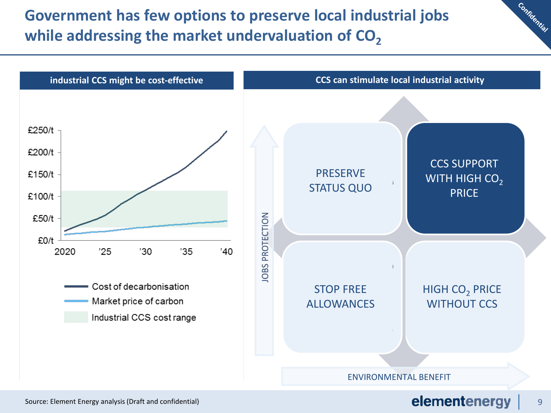## **Government has few options to preserve local industrial jobs**  while addressing the market undervaluation of CO<sub>2</sub>

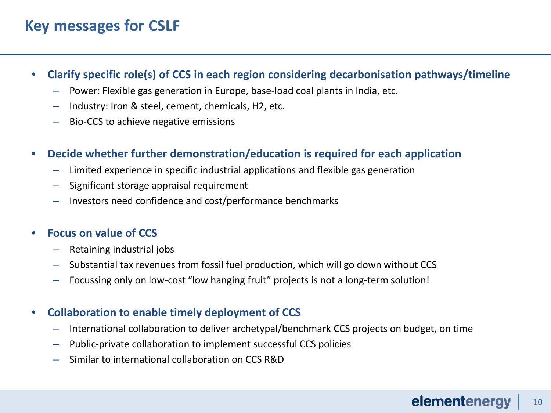### **Key messages for CSLF**

- **Clarify specific role(s) of CCS in each region considering decarbonisation pathways/timeline**
	- Power: Flexible gas generation in Europe, base-load coal plants in India, etc.
	- Industry: Iron & steel, cement, chemicals, H2, etc.
	- Bio-CCS to achieve negative emissions
- **Decide whether further demonstration/education is required for each application**
	- Limited experience in specific industrial applications and flexible gas generation
	- Significant storage appraisal requirement
	- Investors need confidence and cost/performance benchmarks

### • **Focus on value of CCS**

- Retaining industrial jobs
- Substantial tax revenues from fossil fuel production, which will go down without CCS
- Focussing only on low-cost "low hanging fruit" projects is not a long-term solution!

### • **Collaboration to enable timely deployment of CCS**

- International collaboration to deliver archetypal/benchmark CCS projects on budget, on time
- Public-private collaboration to implement successful CCS policies
- Similar to international collaboration on CCS R&D